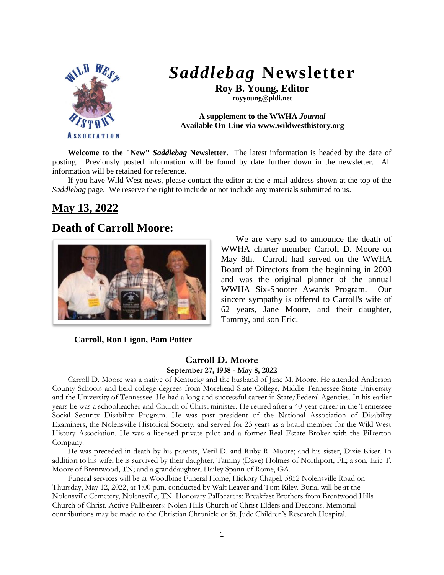

# *Saddlebag* **Newsletter**

**Roy B. Young, Editor royyoung@pldi.net**

**A supplement to the WWHA** *Journal* **Available On-Line via www.wildwesthistory.org**

**Welcome to the "New"** *Saddlebag* **Newsletter**. The latest information is headed by the date of posting. Previously posted information will be found by date further down in the newsletter. All information will be retained for reference.

If you have Wild West news, please contact the editor at the e-mail address shown at the top of the *Saddlebag* page. We reserve the right to include or not include any materials submitted to us.

## **May 13, 2022**

## **Death of Carroll Moore:**



We are very sad to announce the death of WWHA charter member Carroll D. Moore on May 8th. Carroll had served on the WWHA Board of Directors from the beginning in 2008 and was the original planner of the annual WWHA Six-Shooter Awards Program. Our sincere sympathy is offered to Carroll's wife of 62 years, Jane Moore, and their daughter, Tammy, and son Eric.

#### **Carroll, Ron Ligon, Pam Potter**

#### **Carroll D. Moore September 27, 1938 - May 8, 2022**

Carroll D. Moore was a native of Kentucky and the husband of Jane M. Moore. He attended Anderson County Schools and held college degrees from Morehead State College, Middle Tennessee State University and the University of Tennessee. He had a long and successful career in State/Federal Agencies. In his earlier years he was a schoolteacher and Church of Christ minister. He retired after a 40-year career in the Tennessee Social Security Disability Program. He was past president of the National Association of Disability Examiners, the Nolensville Historical Society, and served for 23 years as a board member for the Wild West History Association. He was a licensed private pilot and a former Real Estate Broker with the Pilkerton Company.

He was preceded in death by his parents, Veril D. and Ruby R. Moore; and his sister, Dixie Kiser. In addition to his wife, he is survived by their daughter, Tammy (Dave) Holmes of Northport, FL; a son, Eric T. Moore of Brentwood, TN; and a granddaughter, Hailey Spann of Rome, GA.

Funeral services will be at Woodbine Funeral Home, Hickory Chapel, 5852 Nolensville Road on Thursday, May 12, 2022, at 1:00 p.m. conducted by Walt Leaver and Tom Riley. Burial will be at the Nolensville Cemetery, Nolensville, TN. Honorary Pallbearers: Breakfast Brothers from Brentwood Hills Church of Christ. Active Pallbearers: Nolen Hills Church of Christ Elders and Deacons. Memorial contributions may be made to the Christian Chronicle or St. Jude Children's Research Hospital.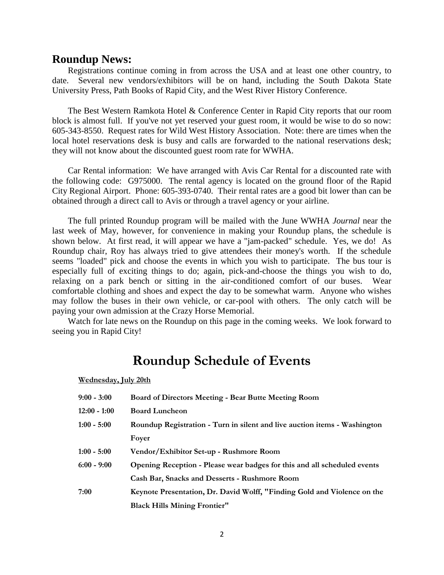#### **Roundup News:**

Registrations continue coming in from across the USA and at least one other country, to date. Several new vendors/exhibitors will be on hand, including the South Dakota State University Press, Path Books of Rapid City, and the West River History Conference.

The Best Western Ramkota Hotel & Conference Center in Rapid City reports that our room block is almost full. If you've not yet reserved your guest room, it would be wise to do so now: 605-343-8550. Request rates for Wild West History Association. Note: there are times when the local hotel reservations desk is busy and calls are forwarded to the national reservations desk; they will not know about the discounted guest room rate for WWHA.

Car Rental information: We have arranged with Avis Car Rental for a discounted rate with the following code: G975000. The rental agency is located on the ground floor of the Rapid City Regional Airport. Phone: 605-393-0740. Their rental rates are a good bit lower than can be obtained through a direct call to Avis or through a travel agency or your airline.

The full printed Roundup program will be mailed with the June WWHA *Journal* near the last week of May, however, for convenience in making your Roundup plans, the schedule is shown below. At first read, it will appear we have a "jam-packed" schedule. Yes, we do! As Roundup chair, Roy has always tried to give attendees their money's worth. If the schedule seems "loaded" pick and choose the events in which you wish to participate. The bus tour is especially full of exciting things to do; again, pick-and-choose the things you wish to do, relaxing on a park bench or sitting in the air-conditioned comfort of our buses. Wear comfortable clothing and shoes and expect the day to be somewhat warm. Anyone who wishes may follow the buses in their own vehicle, or car-pool with others. The only catch will be paying your own admission at the Crazy Horse Memorial.

Watch for late news on the Roundup on this page in the coming weeks. We look forward to seeing you in Rapid City!

# **Roundup Schedule of Events**

**Wednesday, July 20th**

| $9:00 - 3:00$ | <b>Board of Directors Meeting - Bear Butte Meeting Room</b>               |
|---------------|---------------------------------------------------------------------------|
| 12:00 - 1:00  | <b>Board Luncheon</b>                                                     |
| $1:00 - 5:00$ | Roundup Registration - Turn in silent and live auction items - Washington |
|               | Foyer                                                                     |
| 1:00 - 5:00   | Vendor/Exhibitor Set-up - Rushmore Room                                   |
| $6:00 - 9:00$ | Opening Reception - Please wear badges for this and all scheduled events  |
|               | Cash Bar, Snacks and Desserts - Rushmore Room                             |
| 7:00          | Keynote Presentation, Dr. David Wolff, "Finding Gold and Violence on the  |
|               | <b>Black Hills Mining Frontier"</b>                                       |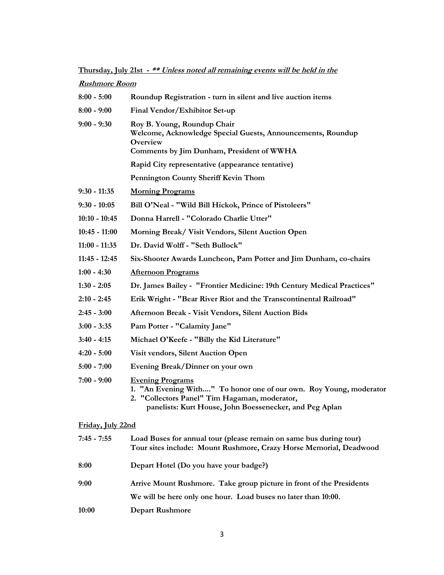**Thursday, July 21st - \*\* Unless noted all remaining events will be held in the** 

| <b>Rushmore Room</b> |                                                                                                                                                                                                           |  |  |
|----------------------|-----------------------------------------------------------------------------------------------------------------------------------------------------------------------------------------------------------|--|--|
| $8:00 - 5:00$        | Roundup Registration - turn in silent and live auction items                                                                                                                                              |  |  |
| $8:00 - 9:00$        | Final Vendor/Exhibitor Set-up                                                                                                                                                                             |  |  |
| $9:00 - 9:30$        | Roy B. Young, Roundup Chair<br>Welcome, Acknowledge Special Guests, Announcements, Roundup<br>Overview<br>Comments by Jim Dunham, President of WWHA                                                       |  |  |
|                      | Rapid City representative (appearance tentative)                                                                                                                                                          |  |  |
|                      | <b>Pennington County Sheriff Kevin Thom</b>                                                                                                                                                               |  |  |
| $9:30 - 11:35$       | <b>Morning Programs</b>                                                                                                                                                                                   |  |  |
| $9:30 - 10:05$       | Bill O'Neal - "Wild Bill Hickok, Prince of Pistoleers"                                                                                                                                                    |  |  |
| $10:10 - 10:45$      | Donna Harrell - "Colorado Charlie Utter"                                                                                                                                                                  |  |  |
| $10:45 - 11:00$      | Morning Break/ Visit Vendors, Silent Auction Open                                                                                                                                                         |  |  |
| $11:00 - 11:35$      | Dr. David Wolff - "Seth Bullock"                                                                                                                                                                          |  |  |
| $11:45 - 12:45$      | Six-Shooter Awards Luncheon, Pam Potter and Jim Dunham, co-chairs                                                                                                                                         |  |  |
| $1:00 - 4:30$        | <b>Afternoon Programs</b>                                                                                                                                                                                 |  |  |
| $1:30 - 2:05$        | Dr. James Bailey - "Frontier Medicine: 19th Century Medical Practices"                                                                                                                                    |  |  |
| $2:10 - 2:45$        | Erik Wright - "Bear River Riot and the Transcontinental Railroad"                                                                                                                                         |  |  |
| $2:45 - 3:00$        | Afternoon Break - Visit Vendors, Silent Auction Bids                                                                                                                                                      |  |  |
| $3:00 - 3:35$        | Pam Potter - "Calamity Jane"                                                                                                                                                                              |  |  |
| $3:40 - 4:15$        | Michael O'Keefe - "Billy the Kid Literature"                                                                                                                                                              |  |  |
| $4:20 - 5:00$        | Visit vendors, Silent Auction Open                                                                                                                                                                        |  |  |
| $5:00 - 7:00$        | Evening Break/Dinner on your own                                                                                                                                                                          |  |  |
| $7:00 - 9:00$        | <b>Evening Programs</b><br>1. "An Evening With" To honor one of our own. Roy Young, moderator<br>2. "Collectors Panel" Tim Hagaman, moderator,<br>panelists: Kurt House, John Boessenecker, and Peg Aplan |  |  |
| Friday, July 22nd    |                                                                                                                                                                                                           |  |  |
| $7:45 - 7:55$        | Load Buses for annual tour (please remain on same bus during tour)<br>Tour sites include: Mount Rushmore, Crazy Horse Memorial, Deadwood                                                                  |  |  |
| 8:00                 | Depart Hotel (Do you have your badge?)                                                                                                                                                                    |  |  |
| 9:00                 | Arrive Mount Rushmore. Take group picture in front of the Presidents                                                                                                                                      |  |  |
|                      | We will be here only one hour. Load buses no later than 10:00.                                                                                                                                            |  |  |

**10:00 Depart Rushmore**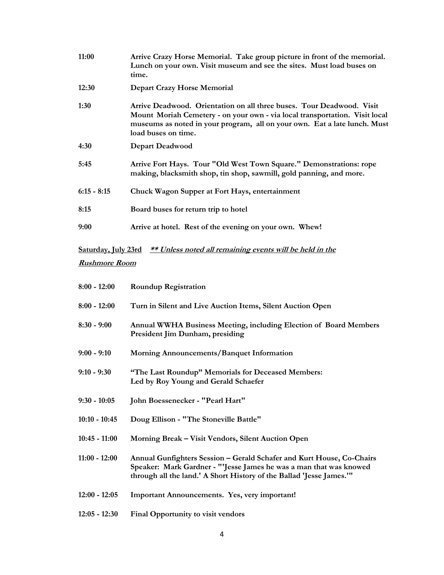| 11:00         | Arrive Crazy Horse Memorial. Take group picture in front of the memorial.<br>Lunch on your own. Visit museum and see the sites. Must load buses on<br>time.                                                                                              |
|---------------|----------------------------------------------------------------------------------------------------------------------------------------------------------------------------------------------------------------------------------------------------------|
| 12:30         | <b>Depart Crazy Horse Memorial</b>                                                                                                                                                                                                                       |
| 1:30          | Arrive Deadwood. Orientation on all three buses. Tour Deadwood. Visit<br>Mount Moriah Cemetery - on your own - via local transportation. Visit local<br>museums as noted in your program, all on your own. Eat a late lunch. Must<br>load buses on time. |
| 4:30          | <b>Depart Deadwood</b>                                                                                                                                                                                                                                   |
| 5:45          | Arrive Fort Hays. Tour "Old West Town Square." Demonstrations: rope<br>making, blacksmith shop, tin shop, sawmill, gold panning, and more.                                                                                                               |
| $6:15 - 8:15$ | Chuck Wagon Supper at Fort Hays, entertainment                                                                                                                                                                                                           |
| 8:15          | Board buses for return trip to hotel                                                                                                                                                                                                                     |
| 9:00          | Arrive at hotel. Rest of the evening on your own. Whew!                                                                                                                                                                                                  |

**Saturday, July 23rd \*\* Unless noted all remaining events will be held in the** 

### **Rushmore Room**

| $8:00 - 12:00$  | <b>Roundup Registration</b>                                                                                                                                                                                         |  |  |
|-----------------|---------------------------------------------------------------------------------------------------------------------------------------------------------------------------------------------------------------------|--|--|
| $8:00 - 12:00$  | Turn in Silent and Live Auction Items, Silent Auction Open                                                                                                                                                          |  |  |
| $8:30 - 9:00$   | Annual WWHA Business Meeting, including Election of Board Members<br>President Jim Dunham, presiding                                                                                                                |  |  |
| $9:00 - 9:10$   | Morning Announcements/Banquet Information                                                                                                                                                                           |  |  |
| $9:10 - 9:30$   | "The Last Roundup" Memorials for Deceased Members:<br>Led by Roy Young and Gerald Schaefer                                                                                                                          |  |  |
| $9:30 - 10:05$  | John Boessenecker - "Pearl Hart"                                                                                                                                                                                    |  |  |
| $10:10 - 10:45$ | Doug Ellison - "The Stoneville Battle"                                                                                                                                                                              |  |  |
| $10:45 - 11:00$ | Morning Break - Visit Vendors, Silent Auction Open                                                                                                                                                                  |  |  |
| $11:00 - 12:00$ | Annual Gunfighters Session - Gerald Schafer and Kurt House, Co-Chairs<br>Speaker: Mark Gardner - "'Jesse James he was a man that was knowed<br>through all the land.' A Short History of the Ballad 'Jesse James.'" |  |  |
| $12:00 - 12:05$ | Important Announcements. Yes, very important!                                                                                                                                                                       |  |  |
| $12:05 - 12:30$ | Final Opportunity to visit vendors                                                                                                                                                                                  |  |  |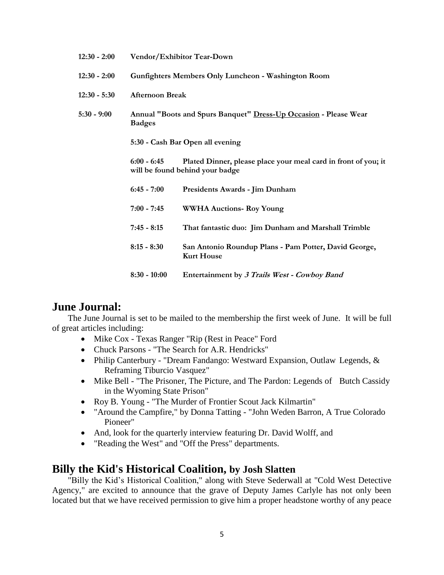| $12:30 - 2:00$ | Vendor/Exhibitor Tear-Down                                                        |                                                                                                   |  |  |
|----------------|-----------------------------------------------------------------------------------|---------------------------------------------------------------------------------------------------|--|--|
| $12:30 - 2:00$ | Gunfighters Members Only Luncheon - Washington Room                               |                                                                                                   |  |  |
| $12:30 - 5:30$ | <b>Afternoon Break</b>                                                            |                                                                                                   |  |  |
| $5:30 - 9:00$  | Annual "Boots and Spurs Banquet" Dress-Up Occasion - Please Wear<br><b>Badges</b> |                                                                                                   |  |  |
|                | 5:30 - Cash Bar Open all evening                                                  |                                                                                                   |  |  |
|                | $6:00 - 6:45$                                                                     | Plated Dinner, please place your meal card in front of you; it<br>will be found behind your badge |  |  |
|                | $6:45 - 7:00$                                                                     | Presidents Awards - Jim Dunham                                                                    |  |  |
|                | $7:00 - 7:45$                                                                     | <b>WWHA Auctions- Roy Young</b>                                                                   |  |  |
|                | $7:45 - 8:15$                                                                     | That fantastic duo: Jim Dunham and Marshall Trimble                                               |  |  |
|                | $8:15 - 8:30$                                                                     | San Antonio Roundup Plans - Pam Potter, David George,<br><b>Kurt House</b>                        |  |  |
|                | $8:30 - 10:00$                                                                    | Entertainment by 3 Trails West - Cowboy Band                                                      |  |  |

## **June Journal:**

The June Journal is set to be mailed to the membership the first week of June. It will be full of great articles including:

- Mike Cox Texas Ranger "Rip (Rest in Peace" Ford
- Chuck Parsons "The Search for A.R. Hendricks"
- Philip Canterbury "Dream Fandango: Westward Expansion, Outlaw Legends, & Reframing Tiburcio Vasquez"
- Mike Bell "The Prisoner, The Picture, and The Pardon: Legends of Butch Cassidy in the Wyoming State Prison"
- Roy B. Young "The Murder of Frontier Scout Jack Kilmartin"
- "Around the Campfire," by Donna Tatting "John Weden Barron, A True Colorado Pioneer"
- And, look for the quarterly interview featuring Dr. David Wolff, and
- "Reading the West" and "Off the Press" departments.

## **Billy the Kid's Historical Coalition, by Josh Slatten**

"Billy the Kid's Historical Coalition," along with Steve Sederwall at "Cold West Detective Agency," are excited to announce that the grave of Deputy James Carlyle has not only been located but that we have received permission to give him a proper headstone worthy of any peace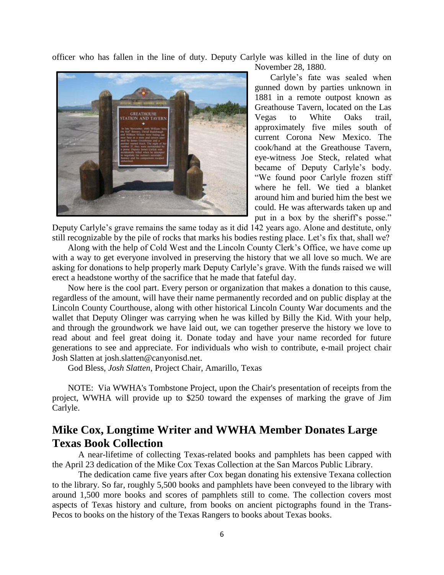officer who has fallen in the line of duty. Deputy Carlyle was killed in the line of duty on



November 28, 1880.

Carlyle's fate was sealed when gunned down by parties unknown in 1881 in a remote outpost known as Greathouse Tavern, located on the Las Vegas to White Oaks trail, approximately five miles south of current Corona New Mexico. The cook/hand at the Greathouse Tavern, eye-witness Joe Steck, related what became of Deputy Carlyle's body. "We found poor Carlyle frozen stiff where he fell. We tied a blanket around him and buried him the best we could. He was afterwards taken up and put in a box by the sheriff's posse."

Deputy Carlyle's grave remains the same today as it did 142 years ago. Alone and destitute, only still recognizable by the pile of rocks that marks his bodies resting place. Let's fix that, shall we?

Along with the help of Cold West and the Lincoln County Clerk's Office, we have come up with a way to get everyone involved in preserving the history that we all love so much. We are asking for donations to help properly mark Deputy Carlyle's grave. With the funds raised we will erect a headstone worthy of the sacrifice that he made that fateful day.

Now here is the cool part. Every person or organization that makes a donation to this cause, regardless of the amount, will have their name permanently recorded and on public display at the Lincoln County Courthouse, along with other historical Lincoln County War documents and the wallet that Deputy Olinger was carrying when he was killed by Billy the Kid. With your help, and through the groundwork we have laid out, we can together preserve the history we love to read about and feel great doing it. Donate today and have your name recorded for future generations to see and appreciate. For individuals who wish to contribute, e-mail project chair Josh Slatten at josh.slatten@canyonisd.net.

God Bless, *Josh Slatten*, Project Chair, Amarillo, Texas

NOTE: Via WWHA's Tombstone Project, upon the Chair's presentation of receipts from the project, WWHA will provide up to \$250 toward the expenses of marking the grave of Jim Carlyle.

## **Mike Cox, Longtime Writer and WWHA Member Donates Large Texas Book Collection**

A near-lifetime of collecting Texas-related books and pamphlets has been capped with the April 23 dedication of the Mike Cox Texas Collection at the San Marcos Public Library.

The dedication came five years after Cox began donating his extensive Texana collection to the library. So far, roughly 5,500 books and pamphlets have been conveyed to the library with around 1,500 more books and scores of pamphlets still to come. The collection covers most aspects of Texas history and culture, from books on ancient pictographs found in the Trans-Pecos to books on the history of the Texas Rangers to books about Texas books.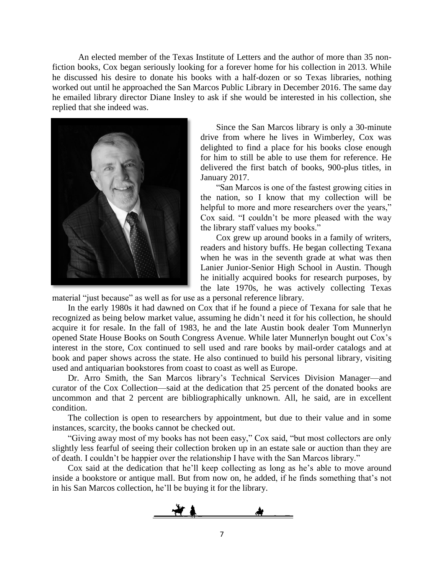An elected member of the Texas Institute of Letters and the author of more than 35 nonfiction books, Cox began seriously looking for a forever home for his collection in 2013. While he discussed his desire to donate his books with a half-dozen or so Texas libraries, nothing worked out until he approached the San Marcos Public Library in December 2016. The same day he emailed library director Diane Insley to ask if she would be interested in his collection, she replied that she indeed was.



Since the San Marcos library is only a 30-minute drive from where he lives in Wimberley, Cox was delighted to find a place for his books close enough for him to still be able to use them for reference. He delivered the first batch of books, 900-plus titles, in January 2017.

"San Marcos is one of the fastest growing cities in the nation, so I know that my collection will be helpful to more and more researchers over the years," Cox said. "I couldn't be more pleased with the way the library staff values my books."

Cox grew up around books in a family of writers, readers and history buffs. He began collecting Texana when he was in the seventh grade at what was then Lanier Junior-Senior High School in Austin. Though he initially acquired books for research purposes, by the late 1970s, he was actively collecting Texas

material "just because" as well as for use as a personal reference library.

In the early 1980s it had dawned on Cox that if he found a piece of Texana for sale that he recognized as being below market value, assuming he didn't need it for his collection, he should acquire it for resale. In the fall of 1983, he and the late Austin book dealer Tom Munnerlyn opened State House Books on South Congress Avenue. While later Munnerlyn bought out Cox's interest in the store, Cox continued to sell used and rare books by mail-order catalogs and at book and paper shows across the state. He also continued to build his personal library, visiting used and antiquarian bookstores from coast to coast as well as Europe.

Dr. Arro Smith, the San Marcos library's Technical Services Division Manager—and curator of the Cox Collection—said at the dedication that 25 percent of the donated books are uncommon and that 2 percent are bibliographically unknown. All, he said, are in excellent condition.

The collection is open to researchers by appointment, but due to their value and in some instances, scarcity, the books cannot be checked out.

"Giving away most of my books has not been easy," Cox said, "but most collectors are only slightly less fearful of seeing their collection broken up in an estate sale or auction than they are of death. I couldn't be happier over the relationship I have with the San Marcos library."

Cox said at the dedication that he'll keep collecting as long as he's able to move around inside a bookstore or antique mall. But from now on, he added, if he finds something that's not in his San Marcos collection, he'll be buying it for the library.